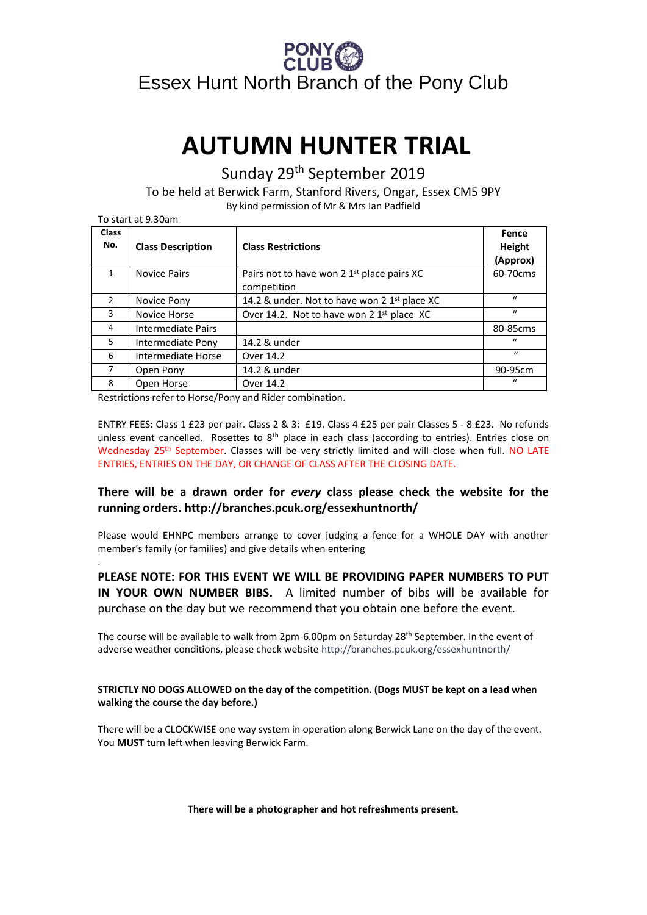# Essex Hunt North Branch of the Pony Club

# **AUTUMN HUNTER TRIAL**

Sunday 29th September 2019

To be held at Berwick Farm, Stanford Rivers, Ongar, Essex CM5 9PY By kind permission of Mr & Mrs Ian Padfield

| To start at 9.30am  |                           |                                                                       |                             |
|---------------------|---------------------------|-----------------------------------------------------------------------|-----------------------------|
| <b>Class</b><br>No. | <b>Class Description</b>  | <b>Class Restrictions</b>                                             | Fence<br>Height<br>(Approx) |
| 1                   | <b>Novice Pairs</b>       | Pairs not to have won 2 1 <sup>st</sup> place pairs XC<br>competition | 60-70cms                    |
| $\mathfrak{p}$      | Novice Pony               | 14.2 & under. Not to have won 2 1 <sup>st</sup> place XC              | $\mathbf{u}$                |
| 3                   | Novice Horse              | Over 14.2. Not to have won 2 1 <sup>st</sup> place XC                 | $\iota$                     |
| 4                   | <b>Intermediate Pairs</b> |                                                                       | 80-85cms                    |
| 5                   | Intermediate Pony         | 14.2 & under                                                          | $\iota$                     |
| 6                   | Intermediate Horse        | Over 14.2                                                             | $\mathbf{u}$                |
| 7                   | Open Pony                 | 14.2 & under                                                          | 90-95cm                     |
| 8                   | Open Horse                | Over 14.2                                                             | "                           |

Restrictions refer to Horse/Pony and Rider combination.

.

ENTRY FEES: Class 1 £23 per pair. Class 2 & 3: £19. Class 4 £25 per pair Classes 5 - 8 £23. No refunds unless event cancelled. Rosettes to 8<sup>th</sup> place in each class (according to entries). Entries close on Wednesday 25<sup>th</sup> September. Classes will be very strictly limited and will close when full. NO LATE ENTRIES, ENTRIES ON THE DAY, OR CHANGE OF CLASS AFTER THE CLOSING DATE.

### **There will be a drawn order for** *every* **class please check the website for the running orders. http://branches.pcuk.org/essexhuntnorth/**

Please would EHNPC members arrange to cover judging a fence for a WHOLE DAY with another member's family (or families) and give details when entering

**PLEASE NOTE: FOR THIS EVENT WE WILL BE PROVIDING PAPER NUMBERS TO PUT IN YOUR OWN NUMBER BIBS.** A limited number of bibs will be available for purchase on the day but we recommend that you obtain one before the event.

The course will be available to walk from 2pm-6.00pm on Saturday 28th September. In the event of adverse weather conditions, please check website http://branches.pcuk.org/essexhuntnorth/

#### **STRICTLY NO DOGS ALLOWED on the day of the competition. (Dogs MUST be kept on a lead when walking the course the day before.)**

There will be a CLOCKWISE one way system in operation along Berwick Lane on the day of the event. You **MUST** turn left when leaving Berwick Farm.

**There will be a photographer and hot refreshments present.**